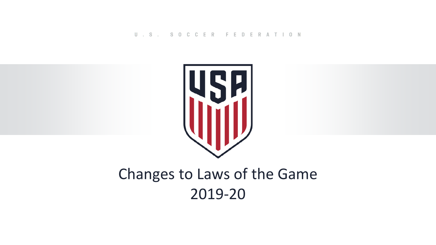### Changes to Laws of the Game 2019-20

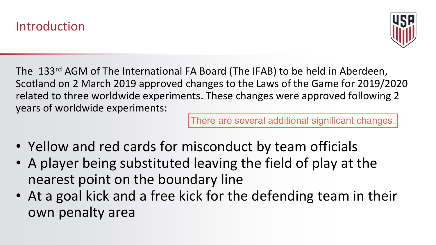### Introduction

The 133<sup>rd</sup> AGM of The International FA Board (The IFAB) to be held in Aberdeen, Scotland on 2 March 2019 approved changes to the Laws of the Game for 2019/2020 related to three worldwide experiments. These changes were approved following 2 years of worldwide experiments:

- 
- . Yellow and red cards for misconduct by team officials . A player being substituted leaving the field of play at the nearest point on the boundary line
- 
- . At a goal kick and a free kick for the defending team in their own penalty area



There are several additional significant changes.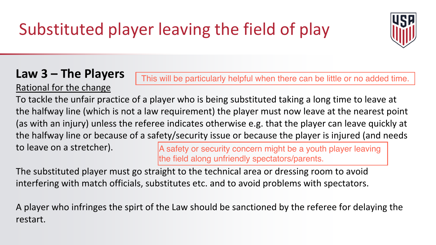### Substituted player leaving the field of play

### **Law 3 – The Players**

To tackle the unfair practice of a player who is being substituted taking a long time to leave at the halfway line (which is not a law requirement) the player must now leave at the nearest point (as with an injury) unless the referee indicates otherwise e.g. that the player can leave quickly at the halfway line or because of a safety/security issue or because the player is injured (and needs to leave on a stretcher). A safety or security concern might be a youth player leaving the field along unfriendly spectators/parents.

The substituted player must go straight to the technical area or dressing room to avoid interfering with match officials, substitutes etc. and to avoid problems with spectators.

A player who infringes the spirt of the Law should be sanctioned by the referee for delaying the restart.



This will be particularly helpful when there can be little or no added time.

Rational for the change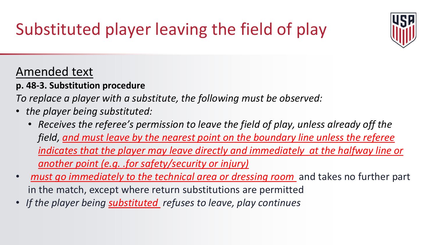### Substituted player leaving the field of play

### Amended text

### p. 48-3. Substitution procedure

To replace a player with a substitute, the following must be observed:

- the player being substituted:
	- another point (e.g. .for safety/security or injury)
- in the match, except where return substitutions are permitted
- If the player being substituted refuses to leave, play continues



• Receives the referee's permission to leave the field of play, unless already off the field, and must leave by the nearest point on the boundary line unless the referee indicates that the player may leave directly and immediately at the halfway line or

must go immediately to the technical area or dressing room and takes no further part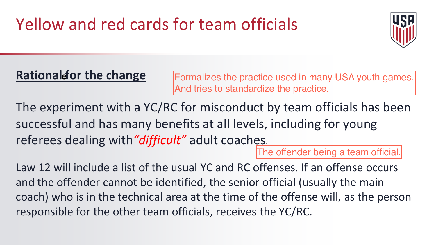### **Rationalefor the change**



successful and has many benefits at all levels, including for young referees dealing with "difficult" adult coaches.

and the offender cannot be identified, the senior official (usually the main responsible for the other team officials, receives the YC/RC.



- Formalizes the practice used in many USA youth games. And tries to standardize the practice.
- The experiment with a YC/RC for misconduct by team officials has been

The offender being a team official.

Law 12 will include a list of the usual YC and RC offenses. If an offense occurs coach) who is in the technical area at the time of the offense will, as the person



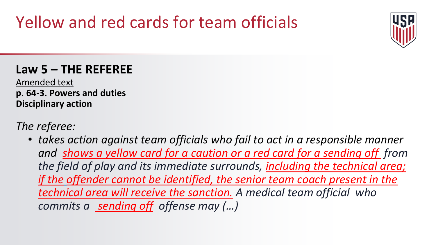### $Law$  5  $-$  THE REFEREE

Amended text p. 64-3. Powers and duties **Disciplinary action** 

### The referee:

commits a sending off-offense may (...)



• takes action against team officials who fail to act in a responsible manner and shows a yellow card for a caution or a red card for a sending off from the field of play and its immediate surrounds, including the technical area; if the offender cannot be identified, the senior team coach present in the technical area will receive the sanction. A medical team official who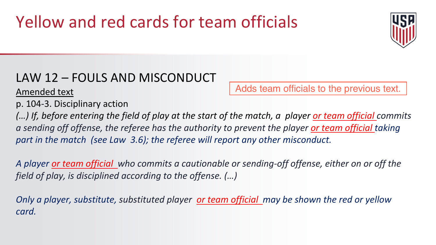### LAW 12 - FOULS AND MISCONDUCT

Amended text

p. 104-3. Disciplinary action

(...) If, before entering the field of play at the start of the match, a player or team official commits a sending off offense, the referee has the authority to prevent the player or team official taking part in the match (see Law 3.6); the referee will report any other misconduct.

A player or team official who commits a cautionable or sending-off offense, either on or off the field of play, is disciplined according to the offense. (...)

Only a player, substitute, substituted player or team official may be shown the red or yellow card.





Adds team officials to the previous text.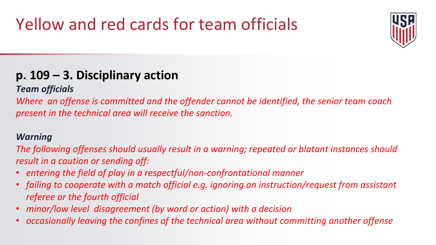### $p. 109 - 3.$  Disciplinary action **Team officials**

Where an offense is committed and the offender cannot be identified, the senior team coach present in the technical area will receive the sanction.

### **Warning**

The following offenses should usually result in a warning; repeated or blatant instances should result in a caution or sending off:

- entering the field of play in a respectful/non-confrontational manner
- referee or the fourth official
- minor/low level disagreement (by word or action) with a decision
- 



• failing to cooperate with a match official e.g. ignoring an instruction/request from assistant

occasionally leaving the confines of the technical area without committing another offense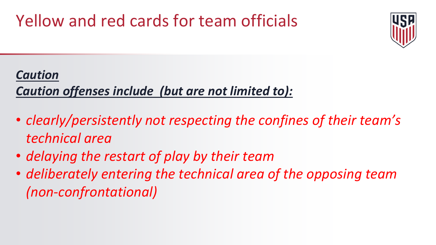### Caution Caution offenses include (but are not limited to):

- technical area
- delaying the restart of play by their team
- (non-confrontational)



### • clearly/persistently not respecting the confines of their team's

• deliberately entering the technical area of the opposing team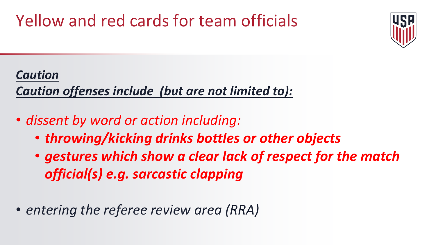### Caution Caution offenses include (but are not limited to):

- · dissent by word or action including:
	- throwing/kicking drinks bottles or other objects
	- official(s) e.g. sarcastic clapping
- entering the referee review area (RRA)



# • gestures which show a clear lack of respect for the match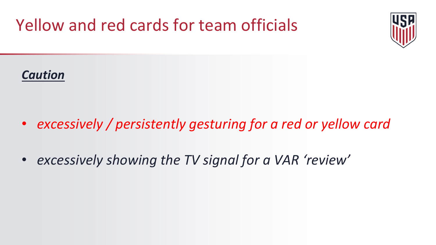Caution

### excessively / persistently gesturing for a red or yellow card  $\bullet$

excessively showing the TV signal for a VAR 'review'  $\bullet$ 



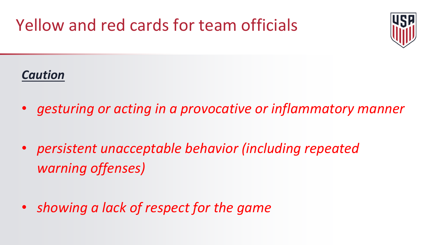Caution

 $\bullet$ 

persistent unacceptable behavior (including repeated  $\bullet$ warning offenses)

showing a lack of respect for the game





### gesturing or acting in a provocative or inflammatory manner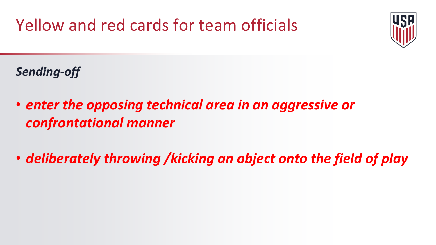Sending-off

• enter the opposing technical area in an aggressive or confrontational manner





### • deliberately throwing /kicking an object onto the field of play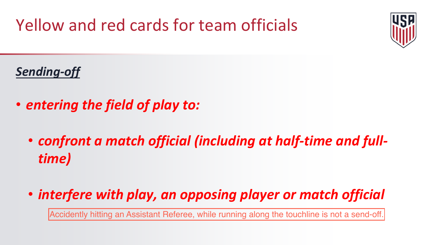Sending-off

**• entering the field of play to:** 

*zime*)

Accidently hitting an Assistant Referee, while running along the touchline is not a send-off.



### <u>• confront a match official (including at half-time and full-</u>

### $\cdot$  interfere with play, an opposing player or match official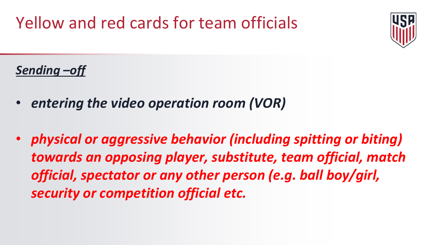Sending -off

- entering the video operation room (VOR)
- security or competition official etc.



• physical or aggressive behavior (including spitting or biting) towards an opposing player, substitute, team official, match official, spectator or any other person (e.g. ball boy/girl,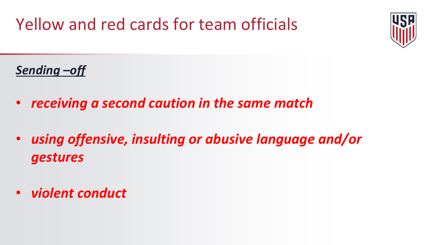Sending -off

• receiving a second caution in the same match

- using offensive, insulting or abusive language and/or gestures
- violent conduct  $\bullet$



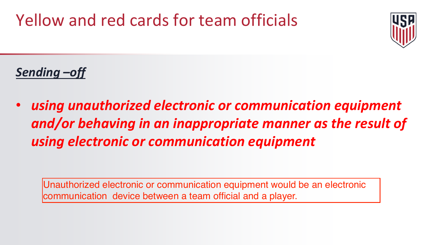Sending -off

**Using electronic or communication equipment** 

Unauthorized electronic or communication equipment would be an electronic communication device between a team official and a player.





### **•** *using unauthorized electronic or communication equipment* and/or behaving in an inappropriate manner as the result of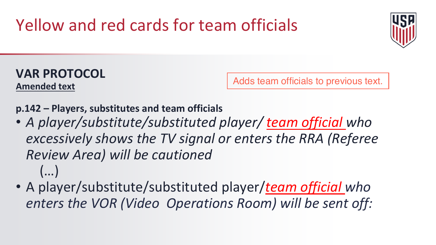### **VAR PROTOCOL Amended text**

p.142 – Players, substitutes and team officials • A player/substitute/substituted player/ team official who excessively shows the TV signal or enters the RRA (Referee Review Area) will be cautioned

- 
- A player/substitute/substituted player/team official who enters the VOR (Video Operations Room) will be sent off:





Adds team officials to previous text.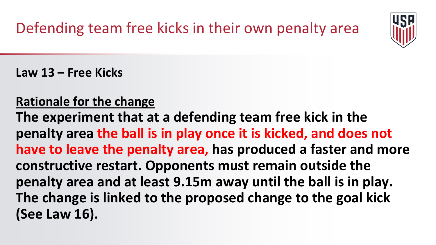### Defending team free kicks in their own penalty area

### Law 13 – Free Kicks

Rationale for the change The experiment that at a defending team free kick in the penalty area the ball is in play once it is kicked, and does not constructive restart. Opponents must remain outside the penalty area and at least 9.15m away until the ball is in play. The change is linked to the proposed change to the goal kick (See Law 16).



# have to leave the penalty area, has produced a faster and more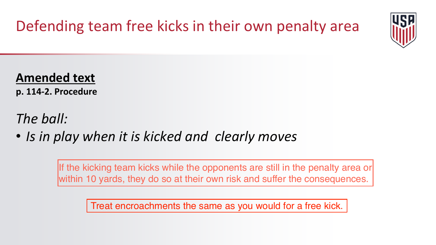### Defending team free kicks in their own penalty area

### **Amended text** p. 114-2. Procedure

### The ball:

### • Is in play when it is kicked and clearly moves

If the kicking team kicks while the opponents are still in the penalty area or within 10 yards, they do so at their own risk and suffer the consequences.

Treat encroachments the same as you would for a free kick.



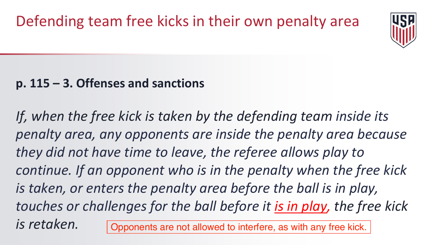### Defending team free kicks in their own penalty area

### p. 115 - 3. Offenses and sanctions

If, when the free kick is taken by the defending team inside its penalty area, any opponents are inside the penalty area because they did not have time to leave, the referee allows play to continue. If an opponent who is in the penalty when the free kick is taken, or enters the penalty area before the ball is in play, touches or challenges for the ball before it is in play, the free kick is retaken. Opponents are not allowed to interfere, as with any free kick.

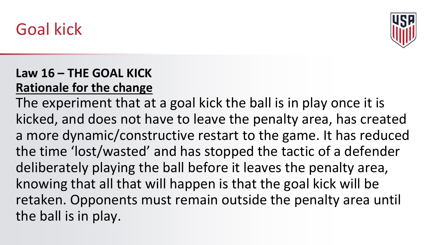### Goal kick

### Law 16 - THE GOAL KICK Rationale for the change

The experiment that at a goal kick the ball is in play once it is kicked, and does not have to leave the penalty area, has created a more dynamic/constructive restart to the game. It has reduced the time 'lost/wasted' and has stopped the tactic of a defender deliberately playing the ball before it leaves the penalty area, knowing that all that will happen is that the goal kick will be retaken. Opponents must remain outside the penalty area until the ball is in play.

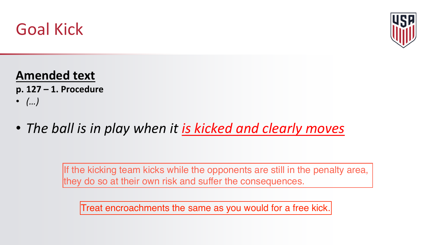### Goal Kick

### **Amended text** p. 127 – 1. Procedure  $\bullet$   $(\ldots)$

### • The ball is in play when it is kicked and clearly moves

If the kicking team kicks while the opponents are still in the penalty area, they do so at their own risk and suffer the consequences.

Treat encroachments the same as you would for a free kick.

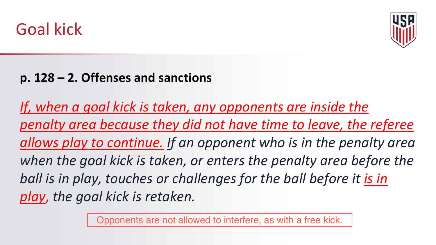### Goal kick

### p. 128 – 2. Offenses and sanctions

If, when a goal kick is taken, any opponents are inside the penalty area because they did not have time to leave, the referee allows play to continue. If an opponent who is in the penalty area when the goal kick is taken, or enters the penalty area before the ball is in play, touches or challenges for the ball before it is in play, the goal kick is retaken.

Opponents are not allowed to interfere, as with a free kick.



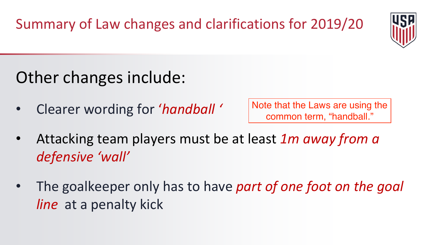### Other changes include:

- **Clearer wording for 'handball'**
- defensive 'wall'
- *line* at a penalty kick



### Note that the Laws are using the common term, "handball."

### Attacking team players must be at least 1m away from a

### The goalkeeper only has to have part of one foot on the goal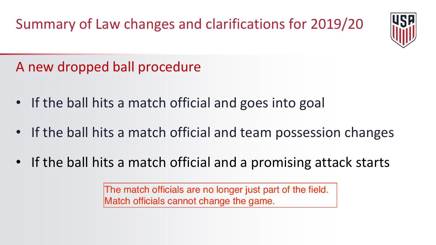A new dropped ball procedure

- . If the ball hits a match official and goes into goal
- 
- . If the ball hits a match official and a promising attack starts

The match officials are no longer just part of the field. Match officials cannot change the game.



### . If the ball hits a match official and team possession changes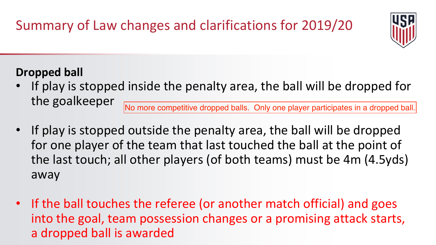### **Dropped ball**

- the goalkeeper
- away If play is stopped outside the penalty area, the ball will be dropped ball.<br>If play is stopped outside the penalty area, the ball will be dropped<br>for one player of the team that last touched the ball at the point of<br>the la
- 



### . If play is stopped inside the penalty area, the ball will be dropped for

. If play is stopped outside the penalty area, the ball will be dropped for one player of the team that last touched the ball at the point of the last touch; all other players (of both teams) must be 4m (4.5yds)

If the ball touches the referee (or another match official) and goes into the goal, team possession changes or a promising attack starts,

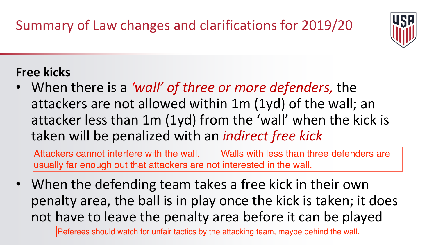### **Free kicks**

. When there is a 'wall' of three or more defenders, the attackers are not allowed within 1m (1yd) of the wall; an taken will be penalized with an *indirect free kick* 

Attackers cannot interfere with the wall. Walls with less than three defenders are usually far enough out that attackers are not interested in the wall.

. When the defending team takes a free kick in their own

Referees should watch for unfair tactics by the attacking team, maybe behind the wall.



# attacker less than 1m (1yd) from the 'wall' when the kick is

penalty area, the ball is in play once the kick is taken; it does not have to leave the penalty area before it can be played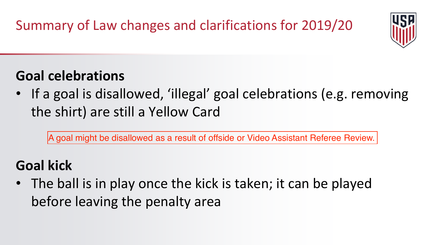### **Goal celebrations**

the shirt) are still a Yellow Card

A goal might be disallowed as a result of offside or Video Assistant Referee Review.

### **Goal kick**

• The ball is in play once the kick is taken; it can be played before leaving the penalty area





### • If a goal is disallowed, 'illegal' goal celebrations (e.g. removing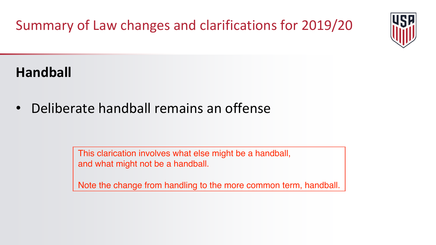### **Handball**

Deliberate handball remains an offense  $\bullet$ 

> This clarication involves what else might be a handball, and what might not be a handball.

Note the change from handling to the more common term, handball.

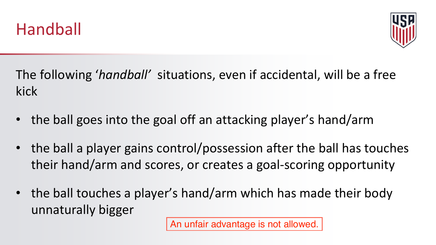### Handball

kick

- the ball goes into the goal off an attacking player's hand/arm  $\begin{array}{ccc} \bullet & \bullet \end{array}$
- the ball a player gains control/possession after the ball has touches their hand/arm and scores, or creates a goal-scoring opportunity
- the ball touches a player's hand/arm which has made their body  $\bullet$ unnaturally bigger





The following 'handball' situations, even if accidental, will be a free

An unfair advantage is not allowed.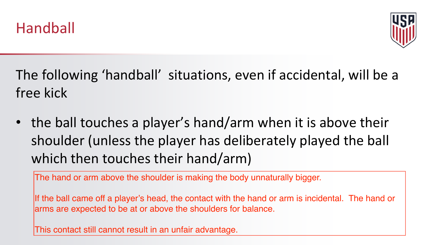### Handball

free kick

. the ball touches a player's hand/arm when it is above their which then touches their hand/arm)

If the ball came off a player's head, the contact with the hand or arm is incidental. The hand or arms are expected to be at or above the shoulders for balance.

The hand or arm above the shoulder is making the body unnaturally bigger.

This contact still cannot result in an unfair advantage.



### The following 'handball' situations, even if accidental, will be a

## shoulder (unless the player has deliberately played the ball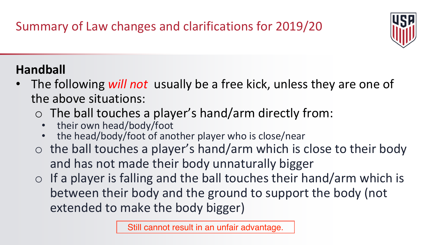### **Handball**

- The following will not usually be a free kick, unless they are one of the above situations:
	- o The ball touches a player's hand/arm directly from:
		- their own head/body/foot  $\bullet$
		- the head/body/foot of another player who is close/near  $\bullet$ and has not made their body unnaturally bigger between their body and the ground to support the body (not extended to make the body bigger)
	- $\circ$  the ball touches a player's hand/arm which is close to their body  $\circ$  If a player is falling and the ball touches their hand/arm which is
	-



Still cannot result in an unfair advantage.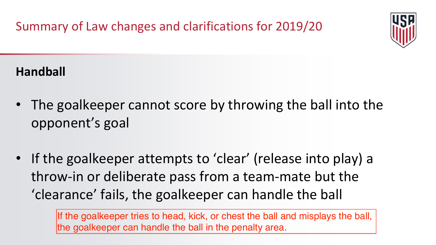### **Handball**

- . The goalkeeper cannot score by throwing the ball into the opponent's goal
- . If the goalkeeper attempts to 'clear' (release into play) a throw-in or deliberate pass from a team-mate but the 'clearance' fails, the goalkeeper can handle the ball

If the goalkeeper tries to head, kick, or chest the ball and misplays the ball, the goalkeeper can handle the ball in the penalty area.

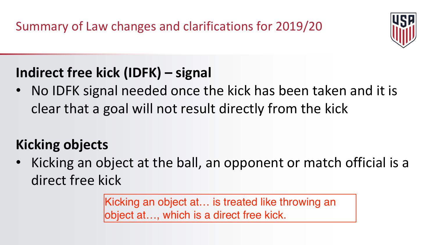### Indirect free kick (IDFK) - signal

clear that a goal will not result directly from the kick

### **Kicking objects**

direct free kick

Kicking an object at... is treated like throwing an object at..., which is a direct free kick.



### • No IDFK signal needed once the kick has been taken and it is

### • Kicking an object at the ball, an opponent or match official is a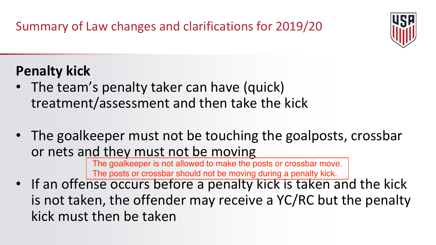### **Penalty kick**

- . The team's penalty taker can have (quick) treatment/assessment and then take the kick
- or nets and they must not be moving
- kick must then be taken



### . The goalkeeper must not be touching the goalposts, crossbar

The goalkeeper is not allowed to make the posts or crossbar move. The posts or crossbar should not be moving during a penalty kick.

. If an offense occurs before a penalty kick is taken and the kick is not taken, the offender may receive a YC/RC but the penalty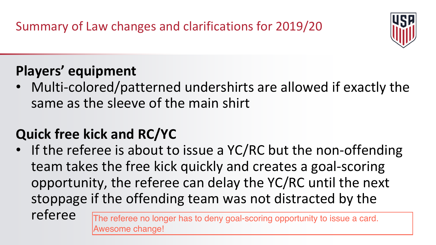### Players' equipment

same as the sleeve of the main shirt

### **Quick free kick and RC/YC**

referee

The referee no longer has to deny goal-scoring opportunity to issue a card.

Awesome change!





### . Multi-colored/patterned undershirts are allowed if exactly the

### . If the referee is about to issue a YC/RC but the non-offending team takes the free kick quickly and creates a goal-scoring opportunity, the referee can delay the YC/RC until the next stoppage if the offending team was not distracted by the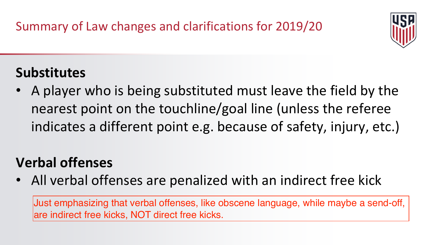### **Substitutes**

### **Verbal offenses**

. All verbal offenses are penalized with an indirect free kick

Just emphasizing that verbal offenses, like obscene language, while maybe a send-off, are indirect free kicks, NOT direct free kicks.



### A player who is being substituted must leave the field by the  $s$  nearest point on the touchline/goal line (unless the referee indicates a different point e.g. because of safety, injury, etc.)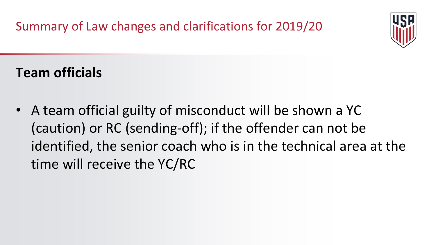### **Team officials**

• A team official guilty of misconduct will be shown a YC (caution) or RC (sending-off); if the offender can not be identified, the senior coach who is in the technical area at the time will receive the YC/RC

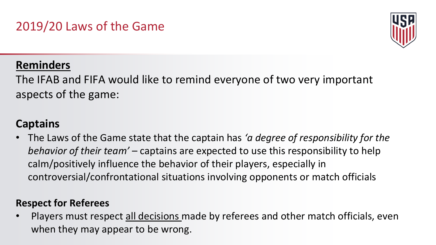### 2019/20 Laws of the Game

### **Reminders**

The IFAB and FIFA would like to remind everyone of two very important aspects of the game:

### **Captains**

• The Laws of the Game state that the captain has 'a degree of responsibility for the calm/positively influence the behavior of their players, especially in controversial/confrontational situations involving opponents or match officials

### **Respect for Referees**

when they may appear to be wrong.



behavior of their team' – captains are expected to use this responsibility to help

Players must respect all decisions made by referees and other match officials, even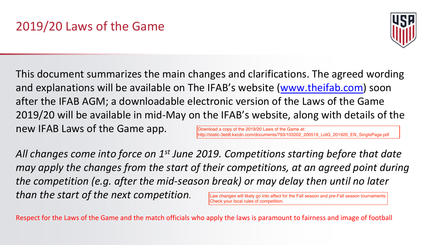### 2019/20 Laws of the Game

This document summarizes the main changes and clarifications. The agreed wording and explanations will be available on The IFAB's website (www.theifab.com) soon after the IFAB AGM; a downloadable electronic version of the Laws of the Game 2019/20 will be available in mid-May on the IFAB's website, along with details of the new IFAB Laws of the Game app. Download a copy of the 2019/20 Laws of the Game at: http://static-3eb8.kxcdn.com/documents/793/103202\_200519\_LotG\_201920\_EN\_SinglePage.pdf

All changes come into force on 1<sup>st</sup> June 2019. Competitions starting before that date may apply the changes from the start of their competitions, at an agreed point during the competition (e.g. after the mid-season break) or may delay then until no later than the start of the next competition. Law changes will likely go into affect for the Fall season and pre-Fall season tournaments. Check your local rules of competition.

Respect for the Laws of the Game and the match officials who apply the laws is paramount to fairness and image of football